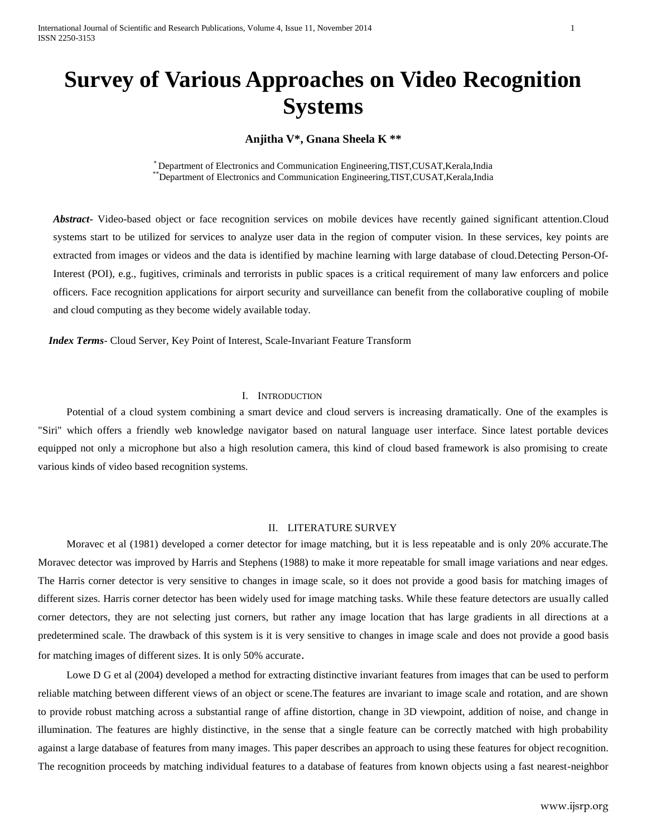# **Survey of Various Approaches on Video Recognition Systems**

**Anjitha V\*, Gnana Sheela K \*\***

\* Department of Electronics and Communication Engineering,TIST,CUSAT,Kerala,India \*\*Department of Electronics and Communication Engineering,TIST,CUSAT,Kerala,India

*Abstract***-** Video-based object or face recognition services on mobile devices have recently gained significant attention.Cloud systems start to be utilized for services to analyze user data in the region of computer vision. In these services, key points are extracted from images or videos and the data is identified by machine learning with large database of cloud.Detecting Person-Of-Interest (POI), e.g., fugitives, criminals and terrorists in public spaces is a critical requirement of many law enforcers and police officers. Face recognition applications for airport security and surveillance can benefit from the collaborative coupling of mobile and cloud computing as they become widely available today.

 *Index Terms*- Cloud Server, Key Point of Interest, Scale-Invariant Feature Transform

#### I. INTRODUCTION

Potential of a cloud system combining a smart device and cloud servers is increasing dramatically. One of the examples is "Siri" which offers a friendly web knowledge navigator based on natural language user interface. Since latest portable devices equipped not only a microphone but also a high resolution camera, this kind of cloud based framework is also promising to create various kinds of video based recognition systems.

## II. LITERATURE SURVEY

Moravec et al (1981) developed a corner detector for image matching, but it is less repeatable and is only 20% accurate.The Moravec detector was improved by Harris and Stephens (1988) to make it more repeatable for small image variations and near edges. The Harris corner detector is very sensitive to changes in image scale, so it does not provide a good basis for matching images of different sizes. Harris corner detector has been widely used for image matching tasks. While these feature detectors are usually called corner detectors, they are not selecting just corners, but rather any image location that has large gradients in all directions at a predetermined scale. The drawback of this system is it is very sensitive to changes in image scale and does not provide a good basis for matching images of different sizes. It is only 50% accurate.

Lowe D G et al (2004) developed a method for extracting distinctive invariant features from images that can be used to perform reliable matching between different views of an object or scene.The features are invariant to image scale and rotation, and are shown to provide robust matching across a substantial range of affine distortion, change in 3D viewpoint, addition of noise, and change in illumination. The features are highly distinctive, in the sense that a single feature can be correctly matched with high probability against a large database of features from many images. This paper describes an approach to using these features for object recognition. The recognition proceeds by matching individual features to a database of features from known objects using a fast nearest-neighbor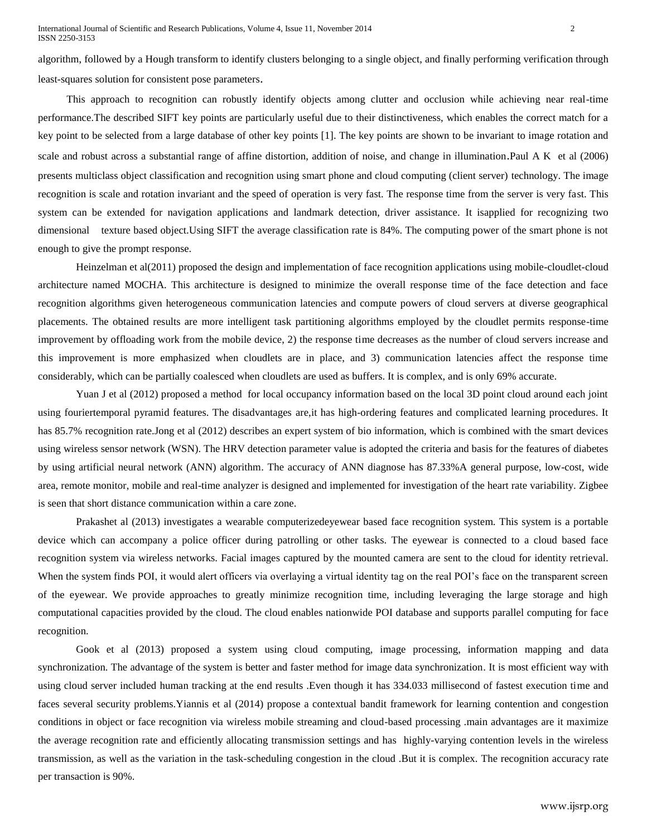algorithm, followed by a Hough transform to identify clusters belonging to a single object, and finally performing verification through least-squares solution for consistent pose parameters.

This approach to recognition can robustly identify objects among clutter and occlusion while achieving near real-time performance.The described SIFT key points are particularly useful due to their distinctiveness, which enables the correct match for a key point to be selected from a large database of other key points [1]. The key points are shown to be invariant to image rotation and scale and robust across a substantial range of affine distortion, addition of noise, and change in illumination.Paul A K et al (2006) presents multiclass object classification and recognition using smart phone and cloud computing (client server) technology. The image recognition is scale and rotation invariant and the speed of operation is very fast. The response time from the server is very fast. This system can be extended for navigation applications and landmark detection, driver assistance. It isapplied for recognizing two dimensional texture based object. Using SIFT the average classification rate is 84%. The computing power of the smart phone is not enough to give the prompt response.

Heinzelman et al(2011) proposed the design and implementation of face recognition applications using mobile-cloudlet-cloud architecture named MOCHA. This architecture is designed to minimize the overall response time of the face detection and face recognition algorithms given heterogeneous communication latencies and compute powers of cloud servers at diverse geographical placements. The obtained results are more intelligent task partitioning algorithms employed by the cloudlet permits response-time improvement by offloading work from the mobile device, 2) the response time decreases as the number of cloud servers increase and this improvement is more emphasized when cloudlets are in place, and 3) communication latencies affect the response time considerably, which can be partially coalesced when cloudlets are used as buffers. It is complex, and is only 69% accurate.

Yuan J et al (2012) proposed a method for local occupancy information based on the local 3D point cloud around each joint using fouriertemporal pyramid features. The disadvantages are,it has high-ordering features and complicated learning procedures. It has 85.7% recognition rate.Jong et al (2012) describes an expert system of bio information, which is combined with the smart devices using wireless sensor network (WSN). The HRV detection parameter value is adopted the criteria and basis for the features of diabetes by using artificial neural network (ANN) algorithm. The accuracy of ANN diagnose has 87.33%A general purpose, low-cost, wide area, remote monitor, mobile and real-time analyzer is designed and implemented for investigation of the heart rate variability. Zigbee is seen that short distance communication within a care zone.

Prakashet al (2013) investigates a wearable computerizedeyewear based face recognition system. This system is a portable device which can accompany a police officer during patrolling or other tasks. The eyewear is connected to a cloud based face recognition system via wireless networks. Facial images captured by the mounted camera are sent to the cloud for identity retrieval. When the system finds POI, it would alert officers via overlaying a virtual identity tag on the real POI's face on the transparent screen of the eyewear. We provide approaches to greatly minimize recognition time, including leveraging the large storage and high computational capacities provided by the cloud. The cloud enables nationwide POI database and supports parallel computing for face recognition.

Gook et al (2013) proposed a system using cloud computing, image processing, information mapping and data synchronization. The advantage of the system is better and faster method for image data synchronization. It is most efficient way with using cloud server included human tracking at the end results .Even though it has 334.033 millisecond of fastest execution time and faces several security problems.Yiannis et al (2014) propose a contextual bandit framework for learning contention and congestion conditions in object or face recognition via wireless mobile streaming and cloud-based processing .main advantages are it maximize the average recognition rate and efficiently allocating transmission settings and has highly-varying contention levels in the wireless transmission, as well as the variation in the task-scheduling congestion in the cloud .But it is complex. The recognition accuracy rate per transaction is 90%.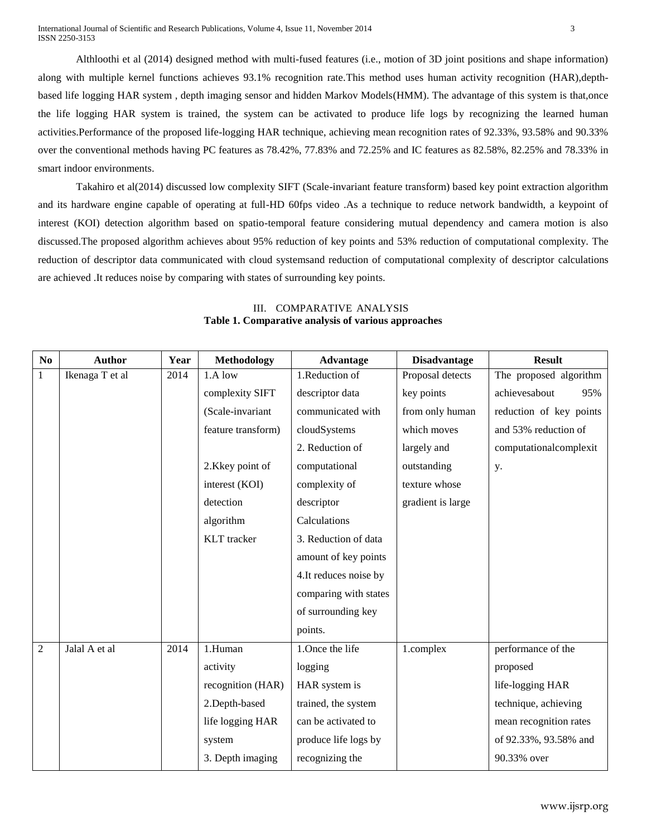Althloothi et al (2014) designed method with multi-fused features (i.e., motion of 3D joint positions and shape information) along with multiple kernel functions achieves 93.1% recognition rate.This method uses human activity recognition (HAR),depthbased life logging HAR system , depth imaging sensor and hidden Markov Models(HMM). The advantage of this system is that,once the life logging HAR system is trained, the system can be activated to produce life logs by recognizing the learned human activities.Performance of the proposed life-logging HAR technique, achieving mean recognition rates of 92.33%, 93.58% and 90.33% over the conventional methods having PC features as 78.42%, 77.83% and 72.25% and IC features as 82.58%, 82.25% and 78.33% in smart indoor environments.

Takahiro et al(2014) discussed low complexity SIFT (Scale-invariant feature transform) based key point extraction algorithm and its hardware engine capable of operating at full-HD 60fps video .As a technique to reduce network bandwidth, a keypoint of interest (KOI) detection algorithm based on spatio-temporal feature considering mutual dependency and camera motion is also discussed.The proposed algorithm achieves about 95% reduction of key points and 53% reduction of computational complexity. The reduction of descriptor data communicated with cloud systemsand reduction of computational complexity of descriptor calculations are achieved .It reduces noise by comparing with states of surrounding key points.

| No             | <b>Author</b>   | Year | <b>Methodology</b> | Advantage              | <b>Disadvantage</b> | <b>Result</b>           |
|----------------|-----------------|------|--------------------|------------------------|---------------------|-------------------------|
| $\mathbf{1}$   | Ikenaga T et al | 2014 | $1.A$ low          | 1.Reduction of         | Proposal detects    | The proposed algorithm  |
|                |                 |      | complexity SIFT    | descriptor data        | key points          | achievesabout<br>95%    |
|                |                 |      | (Scale-invariant   | communicated with      | from only human     | reduction of key points |
|                |                 |      | feature transform) | cloudSystems           | which moves         | and 53% reduction of    |
|                |                 |      |                    | 2. Reduction of        | largely and         | computationalcomplexit  |
|                |                 |      | 2.Kkey point of    | computational          | outstanding         | у.                      |
|                |                 |      | interest (KOI)     | complexity of          | texture whose       |                         |
|                |                 |      | detection          | descriptor             | gradient is large   |                         |
|                |                 |      | algorithm          | Calculations           |                     |                         |
|                |                 |      | <b>KLT</b> tracker | 3. Reduction of data   |                     |                         |
|                |                 |      |                    | amount of key points   |                     |                         |
|                |                 |      |                    | 4. It reduces noise by |                     |                         |
|                |                 |      |                    | comparing with states  |                     |                         |
|                |                 |      |                    | of surrounding key     |                     |                         |
|                |                 |      |                    | points.                |                     |                         |
| $\overline{2}$ | Jalal A et al   | 2014 | 1.Human            | 1. Once the life       | 1.complex           | performance of the      |
|                |                 |      | activity           | logging                |                     | proposed                |
|                |                 |      | recognition (HAR)  | HAR system is          |                     | life-logging HAR        |
|                |                 |      | 2.Depth-based      | trained, the system    |                     | technique, achieving    |
|                |                 |      | life logging HAR   | can be activated to    |                     | mean recognition rates  |
|                |                 |      | system             | produce life logs by   |                     | of 92.33%, 93.58% and   |
|                |                 |      | 3. Depth imaging   | recognizing the        |                     | 90.33% over             |

### III. COMPARATIVE ANALYSIS **Table 1. Comparative analysis of various approaches**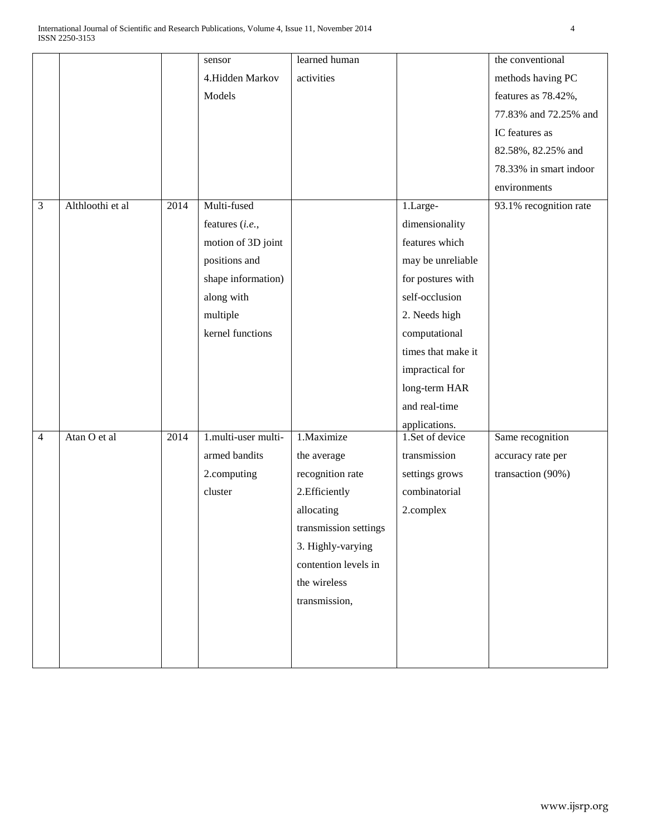|   |                  |      | sensor              | learned human         |                    | the conventional       |
|---|------------------|------|---------------------|-----------------------|--------------------|------------------------|
|   |                  |      | 4.Hidden Markov     | activities            |                    | methods having PC      |
|   |                  |      | Models              |                       |                    | features as 78.42%,    |
|   |                  |      |                     |                       |                    | 77.83% and 72.25% and  |
|   |                  |      |                     |                       |                    | IC features as         |
|   |                  |      |                     |                       |                    | 82.58%, 82.25% and     |
|   |                  |      |                     |                       |                    | 78.33% in smart indoor |
|   |                  |      |                     |                       |                    | environments           |
| 3 | Althloothi et al | 2014 | Multi-fused         |                       | 1.Large-           | 93.1% recognition rate |
|   |                  |      | features (i.e.,     |                       | dimensionality     |                        |
|   |                  |      | motion of 3D joint  |                       | features which     |                        |
|   |                  |      | positions and       |                       | may be unreliable  |                        |
|   |                  |      | shape information)  |                       | for postures with  |                        |
|   |                  |      | along with          |                       | self-occlusion     |                        |
|   |                  |      | multiple            |                       | 2. Needs high      |                        |
|   |                  |      | kernel functions    |                       | computational      |                        |
|   |                  |      |                     |                       | times that make it |                        |
|   |                  |      |                     |                       | impractical for    |                        |
|   |                  |      |                     |                       | long-term HAR      |                        |
|   |                  |      |                     |                       | and real-time      |                        |
|   |                  |      |                     |                       | applications.      |                        |
| 4 | Atan O et al     | 2014 | 1.multi-user multi- | 1.Maximize            | 1.Set of device    | Same recognition       |
|   |                  |      | armed bandits       | the average           | transmission       | accuracy rate per      |
|   |                  |      | 2.computing         | recognition rate      | settings grows     | transaction (90%)      |
|   |                  |      | cluster             | 2. Efficiently        | combinatorial      |                        |
|   |                  |      |                     | allocating            | 2.complex          |                        |
|   |                  |      |                     | transmission settings |                    |                        |
|   |                  |      |                     | 3. Highly-varying     |                    |                        |
|   |                  |      |                     | contention levels in  |                    |                        |
|   |                  |      |                     | the wireless          |                    |                        |
|   |                  |      |                     | transmission,         |                    |                        |
|   |                  |      |                     |                       |                    |                        |
|   |                  |      |                     |                       |                    |                        |
|   |                  |      |                     |                       |                    |                        |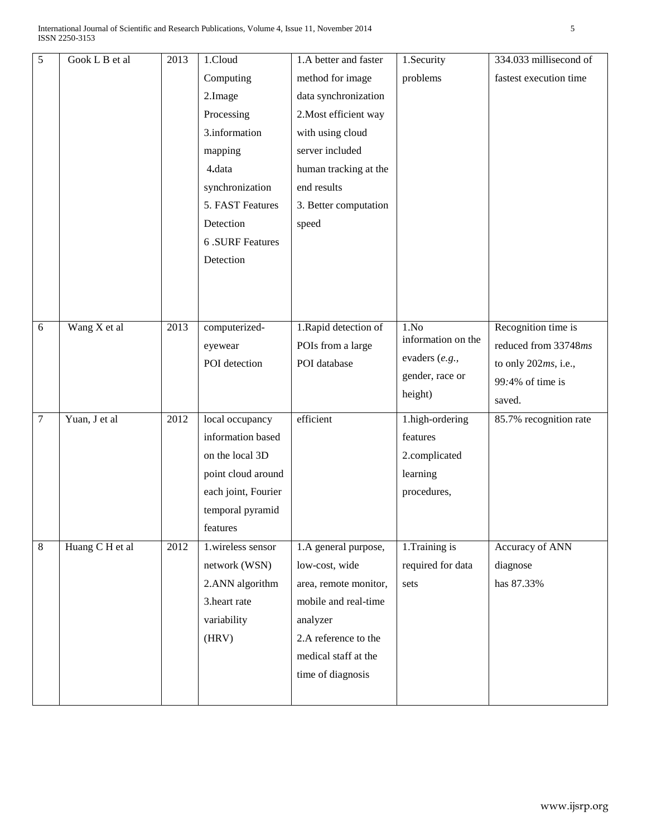| $\sqrt{5}$ | Gook L B et al  | 2013 | 1.Cloud             | 1.A better and faster | 1.Security                 | 334.033 millisecond of |
|------------|-----------------|------|---------------------|-----------------------|----------------------------|------------------------|
|            |                 |      | Computing           | method for image      | problems                   | fastest execution time |
|            |                 |      | 2.Image             | data synchronization  |                            |                        |
|            |                 |      | Processing          | 2. Most efficient way |                            |                        |
|            |                 |      | 3.information       | with using cloud      |                            |                        |
|            |                 |      | mapping             | server included       |                            |                        |
|            |                 |      | 4.data              | human tracking at the |                            |                        |
|            |                 |      | synchronization     | end results           |                            |                        |
|            |                 |      | 5. FAST Features    | 3. Better computation |                            |                        |
|            |                 |      | Detection           | speed                 |                            |                        |
|            |                 |      | 6 .SURF Features    |                       |                            |                        |
|            |                 |      | Detection           |                       |                            |                        |
|            |                 |      |                     |                       |                            |                        |
|            |                 |      |                     |                       |                            |                        |
|            |                 |      |                     |                       |                            |                        |
| 6          | Wang X et al    | 2013 | computerized-       | 1. Rapid detection of | 1.No<br>information on the | Recognition time is    |
|            |                 |      | eyewear             | POIs from a large     | evaders (e.g.,             | reduced from 33748ms   |
|            |                 |      | POI detection       | POI database          | gender, race or            | to only 202ms, i.e.,   |
|            |                 |      |                     |                       | height)                    | 99:4% of time is       |
|            |                 |      |                     |                       |                            | saved.                 |
| 7          | Yuan, J et al   | 2012 | local occupancy     | efficient             | 1.high-ordering            | 85.7% recognition rate |
|            |                 |      | information based   |                       | features                   |                        |
|            |                 |      | on the local 3D     |                       | 2.complicated              |                        |
|            |                 |      | point cloud around  |                       | learning                   |                        |
|            |                 |      | each joint, Fourier |                       | procedures,                |                        |
|            |                 |      | temporal pyramid    |                       |                            |                        |
|            |                 |      | features            |                       |                            |                        |
| 8          | Huang C H et al | 2012 | 1.wireless sensor   | 1.A general purpose,  | 1. Training is             | Accuracy of ANN        |
|            |                 |      | network (WSN)       | low-cost, wide        | required for data          | diagnose               |
|            |                 |      | 2.ANN algorithm     | area, remote monitor, | sets                       | has 87.33%             |
|            |                 |      | 3.heart rate        | mobile and real-time  |                            |                        |
|            |                 |      | variability         | analyzer              |                            |                        |
|            |                 |      | (HRV)               | 2.A reference to the  |                            |                        |
|            |                 |      |                     | medical staff at the  |                            |                        |
|            |                 |      |                     | time of diagnosis     |                            |                        |
|            |                 |      |                     |                       |                            |                        |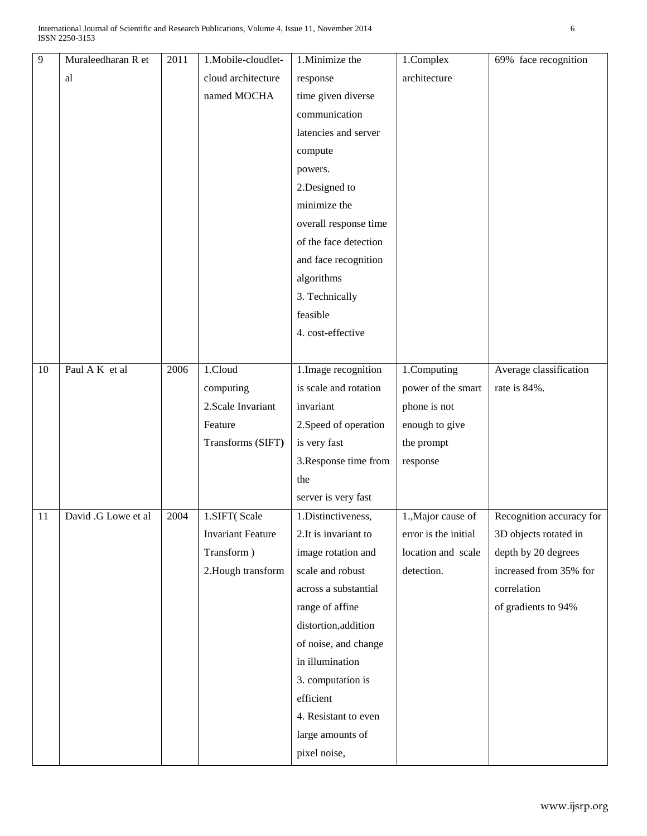| $\overline{9}$ | Muraleedharan R et  | 2011 | 1.Mobile-cloudlet-       | 1.Minimize the        | 1.Complex            | 69% face recognition     |
|----------------|---------------------|------|--------------------------|-----------------------|----------------------|--------------------------|
|                | al                  |      | cloud architecture       | response              | architecture         |                          |
|                |                     |      | named MOCHA              | time given diverse    |                      |                          |
|                |                     |      |                          | communication         |                      |                          |
|                |                     |      |                          | latencies and server  |                      |                          |
|                |                     |      |                          | compute               |                      |                          |
|                |                     |      |                          | powers.               |                      |                          |
|                |                     |      |                          | 2.Designed to         |                      |                          |
|                |                     |      |                          | minimize the          |                      |                          |
|                |                     |      |                          | overall response time |                      |                          |
|                |                     |      |                          | of the face detection |                      |                          |
|                |                     |      |                          | and face recognition  |                      |                          |
|                |                     |      |                          | algorithms            |                      |                          |
|                |                     |      |                          | 3. Technically        |                      |                          |
|                |                     |      |                          | feasible              |                      |                          |
|                |                     |      |                          | 4. cost-effective     |                      |                          |
|                |                     |      |                          |                       |                      |                          |
| 10             | Paul A K et al      | 2006 | 1.Cloud                  | 1. Image recognition  | 1.Computing          | Average classification   |
|                |                     |      | computing                | is scale and rotation | power of the smart   | rate is 84%.             |
|                |                     |      | 2. Scale Invariant       | invariant             | phone is not         |                          |
|                |                     |      | Feature                  | 2. Speed of operation | enough to give       |                          |
|                |                     |      | Transforms (SIFT)        | is very fast          | the prompt           |                          |
|                |                     |      |                          | 3. Response time from | response             |                          |
|                |                     |      |                          | the                   |                      |                          |
|                |                     |      |                          | server is very fast   |                      |                          |
| 11             | David .G Lowe et al | 2004 | 1.SIFT(Scale             | 1.Distinctiveness,    | 1., Major cause of   | Recognition accuracy for |
|                |                     |      | <b>Invariant Feature</b> | 2.It is invariant to  | error is the initial | 3D objects rotated in    |
|                |                     |      | Transform)               | image rotation and    | location and scale   | depth by 20 degrees      |
|                |                     |      | 2. Hough transform       | scale and robust      | detection.           | increased from 35% for   |
|                |                     |      |                          | across a substantial  |                      | correlation              |
|                |                     |      |                          | range of affine       |                      | of gradients to 94%      |
|                |                     |      |                          | distortion, addition  |                      |                          |
|                |                     |      |                          | of noise, and change  |                      |                          |
|                |                     |      |                          | in illumination       |                      |                          |
|                |                     |      |                          | 3. computation is     |                      |                          |
|                |                     |      |                          | efficient             |                      |                          |
|                |                     |      |                          | 4. Resistant to even  |                      |                          |
|                |                     |      |                          | large amounts of      |                      |                          |
|                |                     |      |                          | pixel noise,          |                      |                          |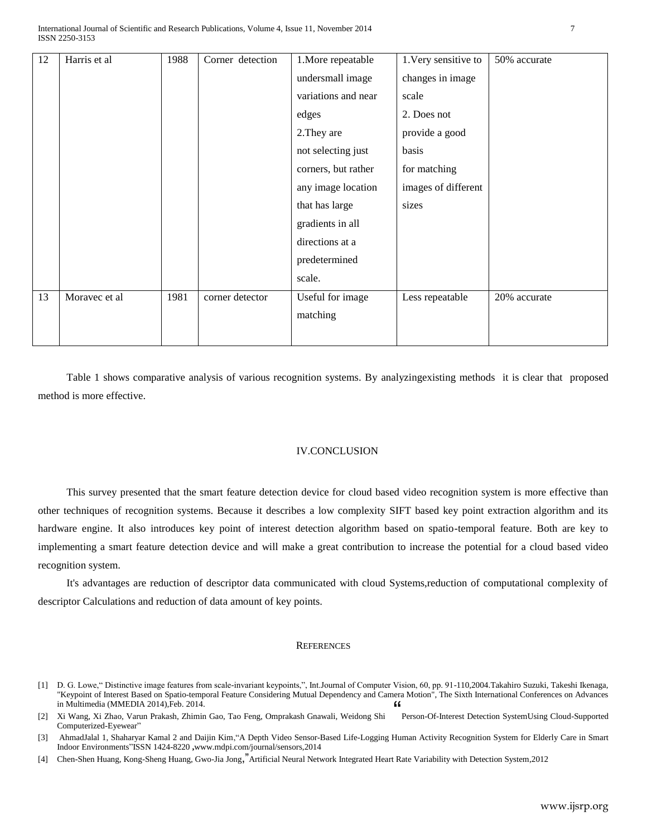| 12 | Harris et al  | 1988 | Corner detection | 1. More repeatable  | 1. Very sensitive to | 50% accurate |
|----|---------------|------|------------------|---------------------|----------------------|--------------|
|    |               |      |                  | undersmall image    | changes in image     |              |
|    |               |      |                  | variations and near | scale                |              |
|    |               |      |                  | edges               | 2. Does not          |              |
|    |               |      |                  | 2. They are         | provide a good       |              |
|    |               |      |                  | not selecting just  | basis                |              |
|    |               |      |                  | corners, but rather | for matching         |              |
|    |               |      |                  | any image location  | images of different  |              |
|    |               |      |                  | that has large      | sizes                |              |
|    |               |      |                  | gradients in all    |                      |              |
|    |               |      |                  | directions at a     |                      |              |
|    |               |      |                  | predetermined       |                      |              |
|    |               |      |                  | scale.              |                      |              |
| 13 | Moravec et al | 1981 | corner detector  | Useful for image    | Less repeatable      | 20% accurate |
|    |               |      |                  | matching            |                      |              |
|    |               |      |                  |                     |                      |              |

Table 1 shows comparative analysis of various recognition systems. By analyzingexisting methods it is clear that proposed method is more effective.

#### IV.CONCLUSION

This survey presented that the smart feature detection device for cloud based video recognition system is more effective than other techniques of recognition systems. Because it describes a low complexity SIFT based key point extraction algorithm and its hardware engine. It also introduces key point of interest detection algorithm based on spatio-temporal feature. Both are key to implementing a smart feature detection device and will make a great contribution to increase the potential for a cloud based video recognition system.

It's advantages are reduction of descriptor data communicated with cloud Systems,reduction of computational complexity of descriptor Calculations and reduction of data amount of key points.

#### **REFERENCES**

[1] D. G. Lowe," Distinctive image features from scale-invariant keypoints,", Int.Journal of Computer Vision, 60, pp. 91-110,2004.Takahiro Suzuki, Takeshi Ikenaga, "Keypoint of Interest Based on Spatio-temporal Feature Considering Mutual Dependency and Camera Motion", The Sixth International Conferences on Advances in Multimedia (MMEDIA 2014),Feb. 2014. "

[4] Chen-Shen Huang, Kong-Sheng Huang, Gwo-Jia Jong,"Artificial Neural Network Integrated Heart Rate Variability with Detection System,2012

<sup>[2]</sup> Xi Wang, Xi Zhao, Varun Prakash, Zhimin Gao, Tao Feng, Omprakash Gnawali, Weidong Shi Person-Of-Interest Detection SystemUsing Cloud-Supported Computerized-Eyewear"

<sup>[3]</sup> AhmadJalal 1, Shaharyar Kamal 2 and Daijin Kim,"A Depth Video Sensor-Based Life-Logging Human Activity Recognition System for Elderly Care in Smart Indoor Environments‖ISSN 1424-8220 **,**www.mdpi.com/journal/sensors,2014